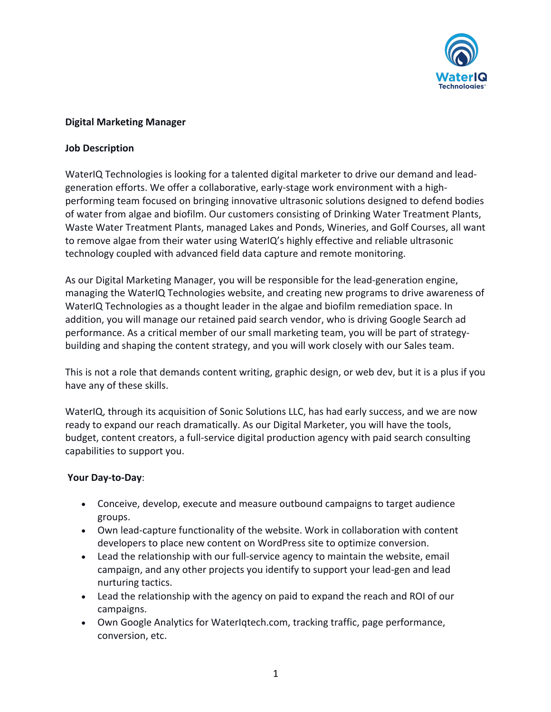

## **Digital Marketing Manager**

### **Job Description**

WaterIQ Technologies is looking for a talented digital marketer to drive our demand and leadgeneration efforts. We offer a collaborative, early-stage work environment with a highperforming team focused on bringing innovative ultrasonic solutions designed to defend bodies of water from algae and biofilm. Our customers consisting of Drinking Water Treatment Plants, Waste Water Treatment Plants, managed Lakes and Ponds, Wineries, and Golf Courses, all want to remove algae from their water using WaterIQ's highly effective and reliable ultrasonic technology coupled with advanced field data capture and remote monitoring.

As our Digital Marketing Manager, you will be responsible for the lead-generation engine, managing the WaterIQ Technologies website, and creating new programs to drive awareness of WaterIQ Technologies as a thought leader in the algae and biofilm remediation space. In addition, you will manage our retained paid search vendor, who is driving Google Search ad performance. As a critical member of our small marketing team, you will be part of strategybuilding and shaping the content strategy, and you will work closely with our Sales team.

This is not a role that demands content writing, graphic design, or web dev, but it is a plus if you have any of these skills.

WaterIQ, through its acquisition of Sonic Solutions LLC, has had early success, and we are now ready to expand our reach dramatically. As our Digital Marketer, you will have the tools, budget, content creators, a full-service digital production agency with paid search consulting capabilities to support you.

### **Your Day-to-Day**:

- Conceive, develop, execute and measure outbound campaigns to target audience groups.
- Own lead-capture functionality of the website. Work in collaboration with content developers to place new content on WordPress site to optimize conversion.
- Lead the relationship with our full-service agency to maintain the website, email campaign, and any other projects you identify to support your lead-gen and lead nurturing tactics.
- Lead the relationship with the agency on paid to expand the reach and ROI of our campaigns.
- Own Google Analytics for WaterIqtech.com, tracking traffic, page performance, conversion, etc.